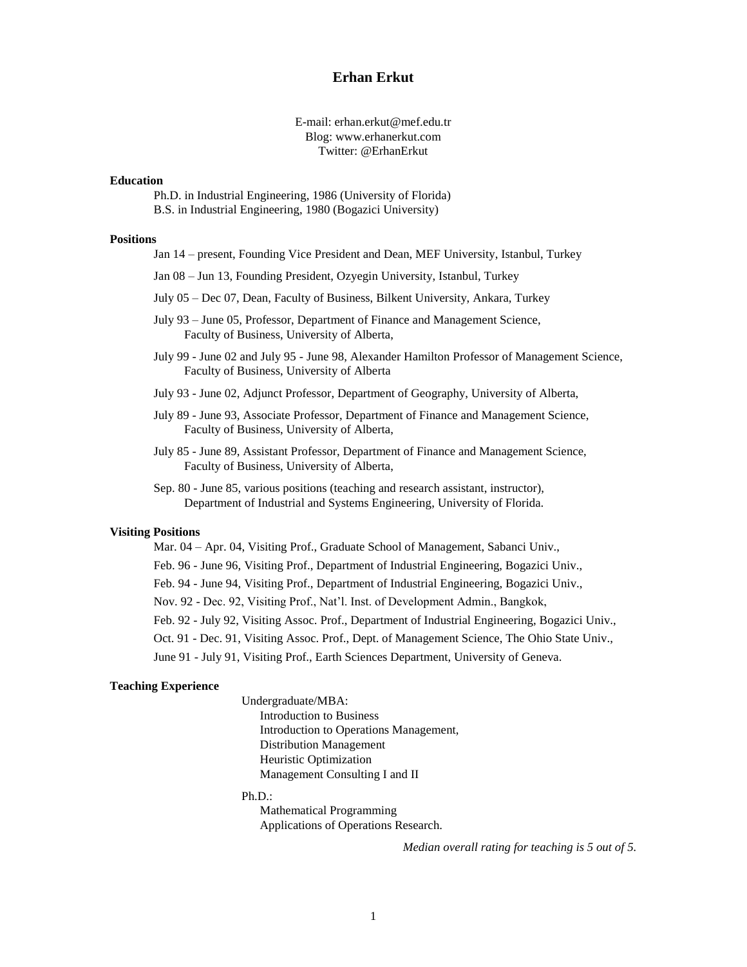# **Erhan Erkut**

E-mail: erhan.erkut@mef.edu.tr Blog: www.erhanerkut.com Twitter: @ErhanErkut

# **Education**

Ph.D. in Industrial Engineering, 1986 (University of Florida) B.S. in Industrial Engineering, 1980 (Bogazici University)

#### **Positions**

- Jan 14 present, Founding Vice President and Dean, MEF University, Istanbul, Turkey
- Jan 08 Jun 13, Founding President, Ozyegin University, Istanbul, Turkey
- July 05 Dec 07, Dean, Faculty of Business, Bilkent University, Ankara, Turkey
- July 93 June 05, Professor, Department of Finance and Management Science, Faculty of Business, University of Alberta,
- July 99 June 02 and July 95 June 98, Alexander Hamilton Professor of Management Science, Faculty of Business, University of Alberta
- July 93 June 02, Adjunct Professor, Department of Geography, University of Alberta,
- July 89 June 93, Associate Professor, Department of Finance and Management Science, Faculty of Business, University of Alberta,
- July 85 June 89, Assistant Professor, Department of Finance and Management Science, Faculty of Business, University of Alberta,
- Sep. 80 June 85, various positions (teaching and research assistant, instructor), Department of Industrial and Systems Engineering, University of Florida.

# **Visiting Positions**

- Mar. 04 Apr. 04, Visiting Prof., Graduate School of Management, Sabanci Univ.,
- Feb. 96 June 96, Visiting Prof., Department of Industrial Engineering, Bogazici Univ.,
- Feb. 94 June 94, Visiting Prof., Department of Industrial Engineering, Bogazici Univ.,
- Nov. 92 Dec. 92, Visiting Prof., Nat'l. Inst. of Development Admin., Bangkok,
- Feb. 92 July 92, Visiting Assoc. Prof., Department of Industrial Engineering, Bogazici Univ.,
- Oct. 91 Dec. 91, Visiting Assoc. Prof., Dept. of Management Science, The Ohio State Univ.,
- June 91 July 91, Visiting Prof., Earth Sciences Department, University of Geneva.

# **Teaching Experience**

- Undergraduate/MBA:
	- Introduction to Business Introduction to Operations Management, Distribution Management Heuristic Optimization Management Consulting I and II
- Ph.D.:

 Mathematical Programming Applications of Operations Research.

*Median overall rating for teaching is 5 out of 5.*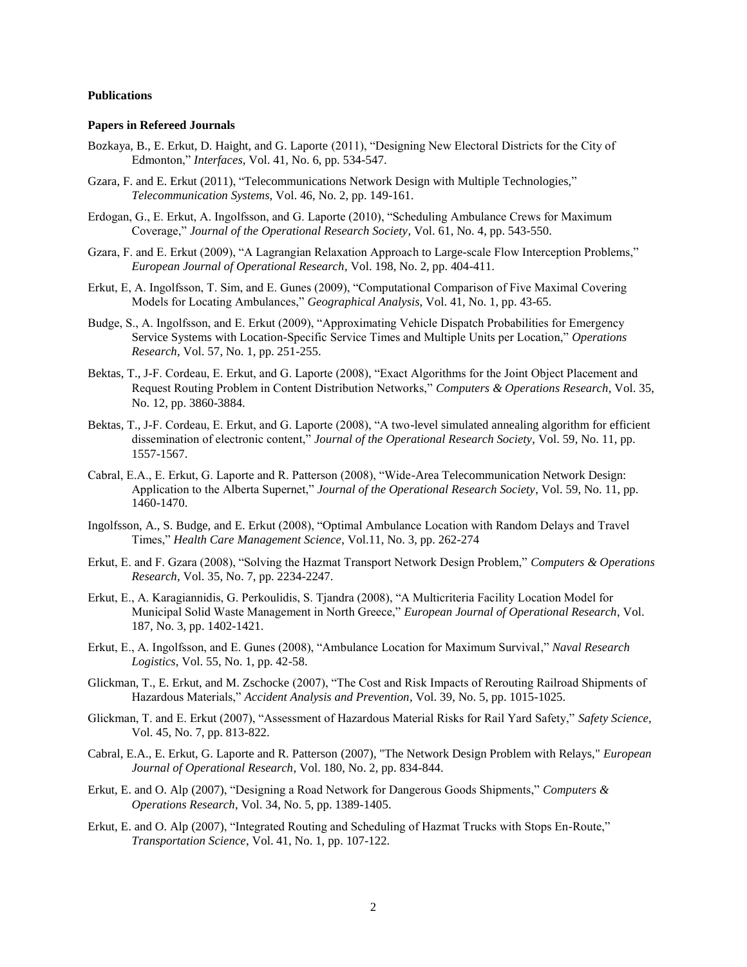#### **Publications**

#### **Papers in Refereed Journals**

- Bozkaya, B., E. Erkut, D. Haight, and G. Laporte (2011), "Designing New Electoral Districts for the City of Edmonton," *Interfaces*, Vol. 41, No. 6, pp. 534-547.
- Gzara, F. and E. Erkut (2011), "Telecommunications Network Design with Multiple Technologies," *Telecommunication Systems*, Vol. 46, No. 2, pp. 149-161.
- Erdogan, G., E. Erkut, A. Ingolfsson, and G. Laporte (2010), "Scheduling Ambulance Crews for Maximum Coverage," *Journal of the Operational Research Society*, Vol. 61, No. 4, pp. 543-550.
- Gzara, F. and E. Erkut (2009), "A Lagrangian Relaxation Approach to Large-scale Flow Interception Problems," *European Journal of Operational Research*, Vol. 198, No. 2, pp. 404-411.
- Erkut, E, A. Ingolfsson, T. Sim, and E. Gunes (2009), "Computational Comparison of Five Maximal Covering Models for Locating Ambulances," *Geographical Analysis*, Vol. 41, No. 1, pp. 43-65.
- Budge, S., A. Ingolfsson, and E. Erkut (2009), "Approximating Vehicle Dispatch Probabilities for Emergency Service Systems with Location-Specific Service Times and Multiple Units per Location," *Operations Research*, Vol. 57, No. 1, pp. 251-255.
- Bektas, T., J-F. Cordeau, E. Erkut, and G. Laporte (2008), "Exact Algorithms for the Joint Object Placement and Request Routing Problem in Content Distribution Networks," *Computers & Operations Research*, Vol. 35, No. 12, pp. 3860-3884.
- Bektas, T., J-F. Cordeau, E. Erkut, and G. Laporte (2008), "A two-level simulated annealing algorithm for efficient dissemination of electronic content," *Journal of the Operational Research Society*, Vol. 59, No. 11, pp. 1557-1567.
- Cabral, E.A., E. Erkut, G. Laporte and R. Patterson (2008), "Wide-Area Telecommunication Network Design: Application to the Alberta Supernet," *Journal of the Operational Research Society*, Vol. 59, No. 11, pp. 1460-1470.
- Ingolfsson, A., S. Budge, and E. Erkut (2008), "Optimal Ambulance Location with Random Delays and Travel Times," *Health Care Management Science*, Vol.11, No. 3, pp. 262-274
- Erkut, E. and F. Gzara (2008), "Solving the Hazmat Transport Network Design Problem," *Computers & Operations Research*, Vol. 35, No. 7, pp. 2234-2247.
- Erkut, E., A. Karagiannidis, G. Perkoulidis, S. Tjandra (2008), "A Multicriteria Facility Location Model for Municipal Solid Waste Management in North Greece," *European Journal of Operational Research*, Vol. 187, No. 3, pp. 1402-1421.
- Erkut, E., A. Ingolfsson, and E. Gunes (2008), "Ambulance Location for Maximum Survival," *Naval Research Logistics*, Vol. 55, No. 1, pp. 42-58.
- Glickman, T., E. Erkut, and M. Zschocke (2007), "The Cost and Risk Impacts of Rerouting Railroad Shipments of Hazardous Materials," *Accident Analysis and Prevention*, Vol. 39, No. 5, pp. 1015-1025.
- Glickman, T. and E. Erkut (2007), "Assessment of Hazardous Material Risks for Rail Yard Safety," *Safety Science*, Vol. 45, No. 7, pp. 813-822.
- Cabral, E.A., E. Erkut, G. Laporte and R. Patterson (2007), "The Network Design Problem with Relays," *European Journal of Operational Research*, Vol. 180, No. 2, pp. 834-844.
- Erkut, E. and O. Alp (2007), "Designing a Road Network for Dangerous Goods Shipments," *Computers & Operations Research*, Vol. 34, No. 5, pp. 1389-1405.
- Erkut, E. and O. Alp (2007), "Integrated Routing and Scheduling of Hazmat Trucks with Stops En-Route," *Transportation Science*, Vol. 41, No. 1, pp. 107-122.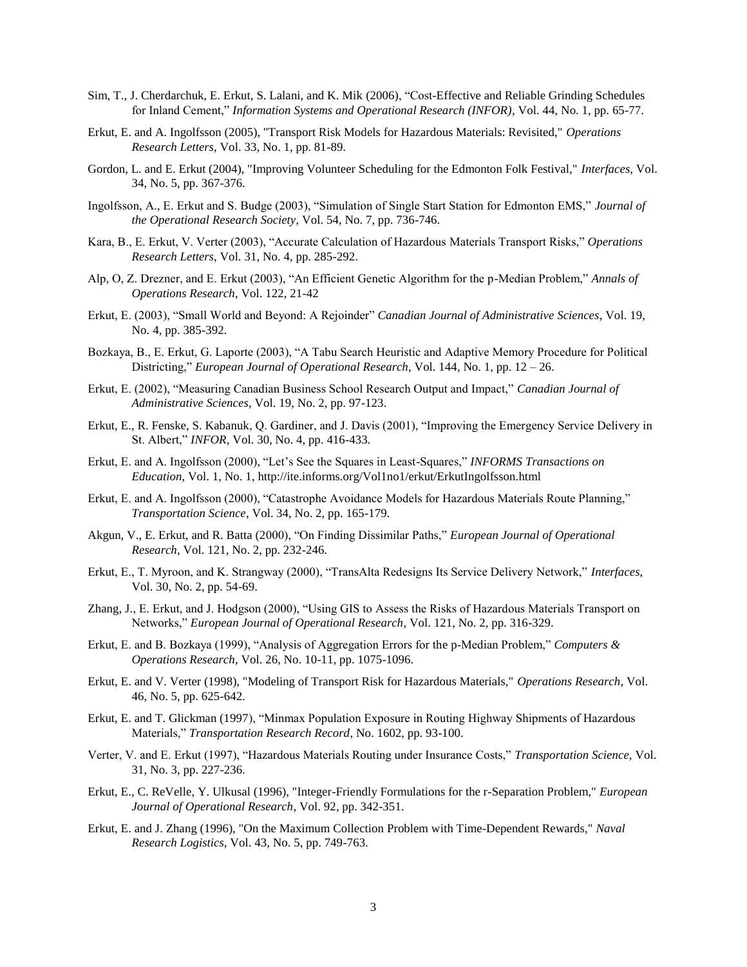- Sim, T., J. Cherdarchuk, E. Erkut, S. Lalani, and K. Mik (2006), "Cost-Effective and Reliable Grinding Schedules for Inland Cement," *Information Systems and Operational Research (INFOR),* Vol. 44, No. 1, pp. 65-77.
- Erkut, E. and A. Ingolfsson (2005), "Transport Risk Models for Hazardous Materials: Revisited," *Operations Research Letters,* Vol. 33, No. 1, pp. 81-89.
- Gordon, L. and E. Erkut (2004), "Improving Volunteer Scheduling for the Edmonton Folk Festival," *Interfaces*, Vol. 34, No. 5, pp. 367-376.
- Ingolfsson, A., E. Erkut and S. Budge (2003), "Simulation of Single Start Station for Edmonton EMS," *Journal of the Operational Research Society*, Vol. 54, No. 7, pp. 736-746.
- Kara, B., E. Erkut, V. Verter (2003), "Accurate Calculation of Hazardous Materials Transport Risks," *Operations Research Letters*, Vol. 31, No. 4, pp. 285-292.
- Alp, O, Z. Drezner, and E. Erkut (2003), "An Efficient Genetic Algorithm for the p-Median Problem," *Annals of Operations Research*, Vol. 122, 21-42
- Erkut, E. (2003), "Small World and Beyond: A Rejoinder" *Canadian Journal of Administrative Sciences*, Vol. 19, No. 4, pp. 385-392.
- Bozkaya, B., E. Erkut, G. Laporte (2003), "A Tabu Search Heuristic and Adaptive Memory Procedure for Political Districting," *European Journal of Operational Research*, Vol. 144, No. 1, pp. 12 – 26.
- Erkut, E. (2002), "Measuring Canadian Business School Research Output and Impact," *Canadian Journal of Administrative Sciences*, Vol. 19, No. 2, pp. 97-123.
- Erkut, E., R. Fenske, S. Kabanuk, Q. Gardiner, and J. Davis (2001), "Improving the Emergency Service Delivery in St. Albert," *INFOR*, Vol. 30, No. 4, pp. 416-433.
- Erkut, E. and A. Ingolfsson (2000), "Let's See the Squares in Least-Squares," *INFORMS Transactions on Education*, Vol. 1, No. 1, http://ite.informs.org/Vol1no1/erkut/ErkutIngolfsson.html
- Erkut, E. and A. Ingolfsson (2000), "Catastrophe Avoidance Models for Hazardous Materials Route Planning," *Transportation Science*, Vol. 34, No. 2, pp. 165-179.
- Akgun, V., E. Erkut, and R. Batta (2000), "On Finding Dissimilar Paths," *European Journal of Operational Research*, Vol. 121, No. 2, pp. 232-246.
- Erkut, E., T. Myroon, and K. Strangway (2000), "TransAlta Redesigns Its Service Delivery Network," *Interfaces*, Vol. 30, No. 2, pp. 54-69.
- Zhang, J., E. Erkut, and J. Hodgson (2000), "Using GIS to Assess the Risks of Hazardous Materials Transport on Networks," *European Journal of Operational Research*, Vol. 121, No. 2, pp. 316-329.
- Erkut, E. and B. Bozkaya (1999), "Analysis of Aggregation Errors for the p-Median Problem," *Computers & Operations Research*, Vol. 26, No. 10-11, pp. 1075-1096.
- Erkut, E. and V. Verter (1998), "Modeling of Transport Risk for Hazardous Materials," *Operations Research*, Vol. 46, No. 5, pp. 625-642.
- Erkut, E. and T. Glickman (1997), "Minmax Population Exposure in Routing Highway Shipments of Hazardous Materials," *Transportation Research Record*, No. 1602, pp. 93-100.
- Verter, V. and E. Erkut (1997), "Hazardous Materials Routing under Insurance Costs," *Transportation Science,* Vol. 31, No. 3, pp. 227-236.
- Erkut, E., C. ReVelle, Y. Ulkusal (1996), "Integer-Friendly Formulations for the r-Separation Problem," *European Journal of Operational Research*, Vol. 92, pp. 342-351.
- Erkut, E. and J. Zhang (1996), "On the Maximum Collection Problem with Time-Dependent Rewards," *Naval Research Logistics*, Vol. 43, No. 5, pp. 749-763.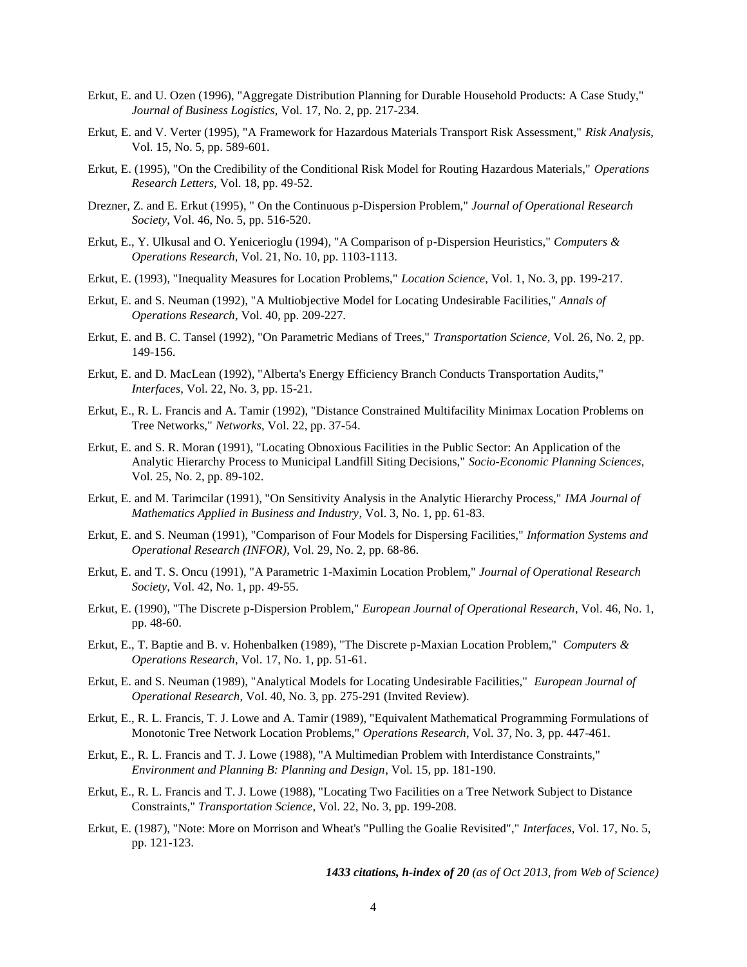- Erkut, E. and U. Ozen (1996), "Aggregate Distribution Planning for Durable Household Products: A Case Study," *Journal of Business Logistics*, Vol. 17, No. 2, pp. 217-234.
- Erkut, E. and V. Verter (1995), "A Framework for Hazardous Materials Transport Risk Assessment," *Risk Analysis*, Vol. 15, No. 5, pp. 589-601.
- Erkut, E. (1995), "On the Credibility of the Conditional Risk Model for Routing Hazardous Materials," *Operations Research Letters*, Vol. 18, pp. 49-52.
- Drezner, Z. and E. Erkut (1995), " On the Continuous p-Dispersion Problem," *Journal of Operational Research Society*, Vol. 46, No. 5, pp. 516-520.
- Erkut, E., Y. Ulkusal and O. Yenicerioglu (1994), "A Comparison of p-Dispersion Heuristics," *Computers & Operations Research,* Vol. 21, No. 10, pp. 1103-1113.
- Erkut, E. (1993), "Inequality Measures for Location Problems," *Location Science*, Vol. 1, No. 3, pp. 199-217.
- Erkut, E. and S. Neuman (1992), "A Multiobjective Model for Locating Undesirable Facilities," *Annals of Operations Research*, Vol. 40, pp. 209-227.
- Erkut, E. and B. C. Tansel (1992), "On Parametric Medians of Trees," *Transportation Science*, Vol. 26, No. 2, pp. 149-156.
- Erkut, E. and D. MacLean (1992), "Alberta's Energy Efficiency Branch Conducts Transportation Audits," *Interfaces*, Vol. 22, No. 3, pp. 15-21.
- Erkut, E., R. L. Francis and A. Tamir (1992), "Distance Constrained Multifacility Minimax Location Problems on Tree Networks," *Networks*, Vol. 22, pp. 37-54.
- Erkut, E. and S. R. Moran (1991), "Locating Obnoxious Facilities in the Public Sector: An Application of the Analytic Hierarchy Process to Municipal Landfill Siting Decisions," *Socio-Economic Planning Sciences*, Vol. 25, No. 2, pp. 89-102.
- Erkut, E. and M. Tarimcilar (1991), "On Sensitivity Analysis in the Analytic Hierarchy Process," *IMA Journal of Mathematics Applied in Business and Industry*, Vol. 3, No. 1, pp. 61-83.
- Erkut, E. and S. Neuman (1991), "Comparison of Four Models for Dispersing Facilities," *Information Systems and Operational Research (INFOR)*, Vol. 29, No. 2, pp. 68-86.
- Erkut, E. and T. S. Oncu (1991), "A Parametric 1-Maximin Location Problem," *Journal of Operational Research Society*, Vol. 42, No. 1, pp. 49-55.
- Erkut, E. (1990), "The Discrete p-Dispersion Problem," *European Journal of Operational Research*, Vol. 46, No. 1, pp. 48-60.
- Erkut, E., T. Baptie and B. v. Hohenbalken (1989), "The Discrete p-Maxian Location Problem," *Computers & Operations Research*, Vol. 17, No. 1, pp. 51-61.
- Erkut, E. and S. Neuman (1989), "Analytical Models for Locating Undesirable Facilities," *European Journal of Operational Research*, Vol. 40, No. 3, pp. 275-291 (Invited Review).
- Erkut, E., R. L. Francis, T. J. Lowe and A. Tamir (1989), "Equivalent Mathematical Programming Formulations of Monotonic Tree Network Location Problems," *Operations Research*, Vol. 37, No. 3, pp. 447-461.
- Erkut, E., R. L. Francis and T. J. Lowe (1988), "A Multimedian Problem with Interdistance Constraints," *Environment and Planning B: Planning and Design*, Vol. 15, pp. 181-190.
- Erkut, E., R. L. Francis and T. J. Lowe (1988), "Locating Two Facilities on a Tree Network Subject to Distance Constraints," *Transportation Science*, Vol. 22, No. 3, pp. 199-208.
- Erkut, E. (1987), "Note: More on Morrison and Wheat's "Pulling the Goalie Revisited"," *Interfaces*, Vol. 17, No. 5, pp. 121-123.

*1433 citations, h-index of 20 (as of Oct 2013, from Web of Science)*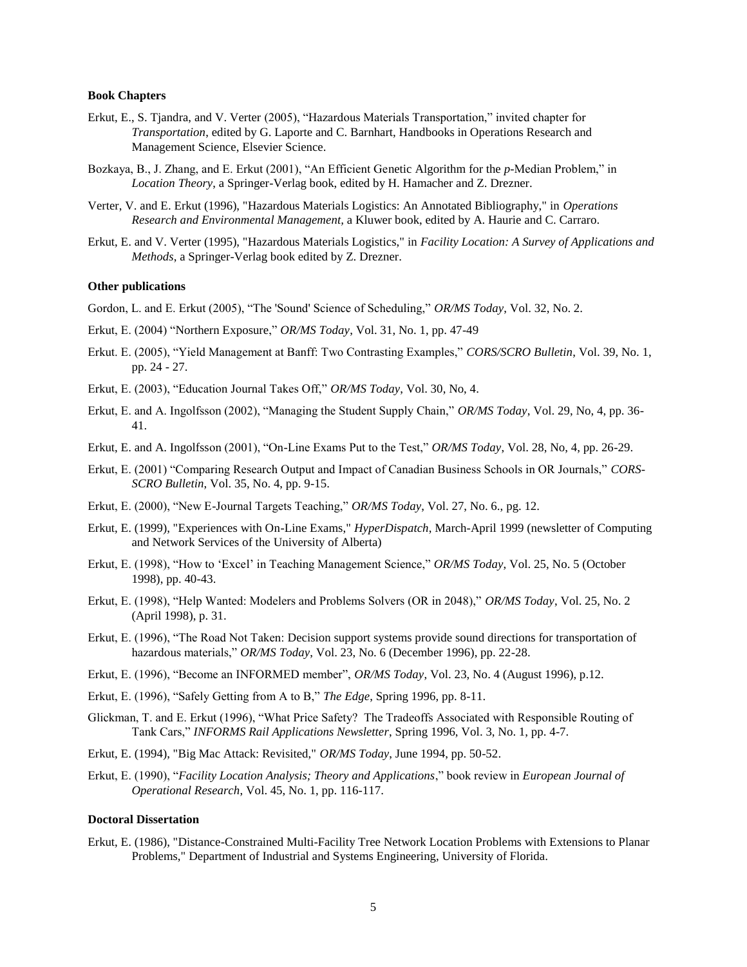#### **Book Chapters**

- Erkut, E., S. Tjandra, and V. Verter (2005), "Hazardous Materials Transportation," invited chapter for *Transportation*, edited by G. Laporte and C. Barnhart, Handbooks in Operations Research and Management Science, Elsevier Science.
- Bozkaya, B., J. Zhang, and E. Erkut (2001), "An Efficient Genetic Algorithm for the *p*-Median Problem," in *Location Theory*, a Springer-Verlag book, edited by H. Hamacher and Z. Drezner.
- Verter, V. and E. Erkut (1996), "Hazardous Materials Logistics: An Annotated Bibliography," in *Operations Research and Environmental Management,* a Kluwer book, edited by A. Haurie and C. Carraro.
- Erkut, E. and V. Verter (1995), "Hazardous Materials Logistics," in *Facility Location: A Survey of Applications and Methods*, a Springer-Verlag book edited by Z. Drezner.

#### **Other publications**

- Gordon, L. and E. Erkut (2005), "The 'Sound' Science of Scheduling," *OR/MS Today*, Vol. 32, No. 2.
- Erkut, E. (2004) "Northern Exposure," *OR/MS Today*, Vol. 31, No. 1, pp. 47-49
- Erkut. E. (2005), "Yield Management at Banff: Two Contrasting Examples," *CORS/SCRO Bulletin*, Vol. 39, No. 1, pp. 24 - 27.
- Erkut, E. (2003), "Education Journal Takes Off," *OR/MS Today*, Vol. 30, No, 4.
- Erkut, E. and A. Ingolfsson (2002), "Managing the Student Supply Chain," *OR/MS Today*, Vol. 29, No, 4, pp. 36- 41.
- Erkut, E. and A. Ingolfsson (2001), "On-Line Exams Put to the Test," *OR/MS Today*, Vol. 28, No, 4, pp. 26-29.
- Erkut, E. (2001) "Comparing Research Output and Impact of Canadian Business Schools in OR Journals," *CORS-SCRO Bulletin*, Vol. 35, No. 4, pp. 9-15.
- Erkut, E. (2000), "New E-Journal Targets Teaching," *OR/MS Today*, Vol. 27, No. 6., pg. 12.
- Erkut, E. (1999), "Experiences with On-Line Exams," *HyperDispatch*, March-April 1999 (newsletter of Computing and Network Services of the University of Alberta)
- Erkut, E. (1998), "How to 'Excel' in Teaching Management Science," *OR/MS Today*, Vol. 25, No. 5 (October 1998), pp. 40-43.
- Erkut, E. (1998), "Help Wanted: Modelers and Problems Solvers (OR in 2048)," *OR/MS Today*, Vol. 25, No. 2 (April 1998), p. 31.
- Erkut, E. (1996), "The Road Not Taken: Decision support systems provide sound directions for transportation of hazardous materials," *OR/MS Today*, Vol. 23, No. 6 (December 1996), pp. 22-28.
- Erkut, E. (1996), "Become an INFORMED member", *OR/MS Today*, Vol. 23, No. 4 (August 1996), p.12.
- Erkut, E. (1996), "Safely Getting from A to B," *The Edge*, Spring 1996, pp. 8-11.
- Glickman, T. and E. Erkut (1996), "What Price Safety? The Tradeoffs Associated with Responsible Routing of Tank Cars," *INFORMS Rail Applications Newsletter*, Spring 1996, Vol. 3, No. 1, pp. 4-7.
- Erkut, E. (1994), "Big Mac Attack: Revisited," *OR/MS Today*, June 1994, pp. 50-52.
- Erkut, E. (1990), "*Facility Location Analysis; Theory and Applications*," book review in *European Journal of Operational Research*, Vol. 45, No. 1, pp. 116-117.

# **Doctoral Dissertation**

Erkut, E. (1986), "Distance-Constrained Multi-Facility Tree Network Location Problems with Extensions to Planar Problems," Department of Industrial and Systems Engineering, University of Florida.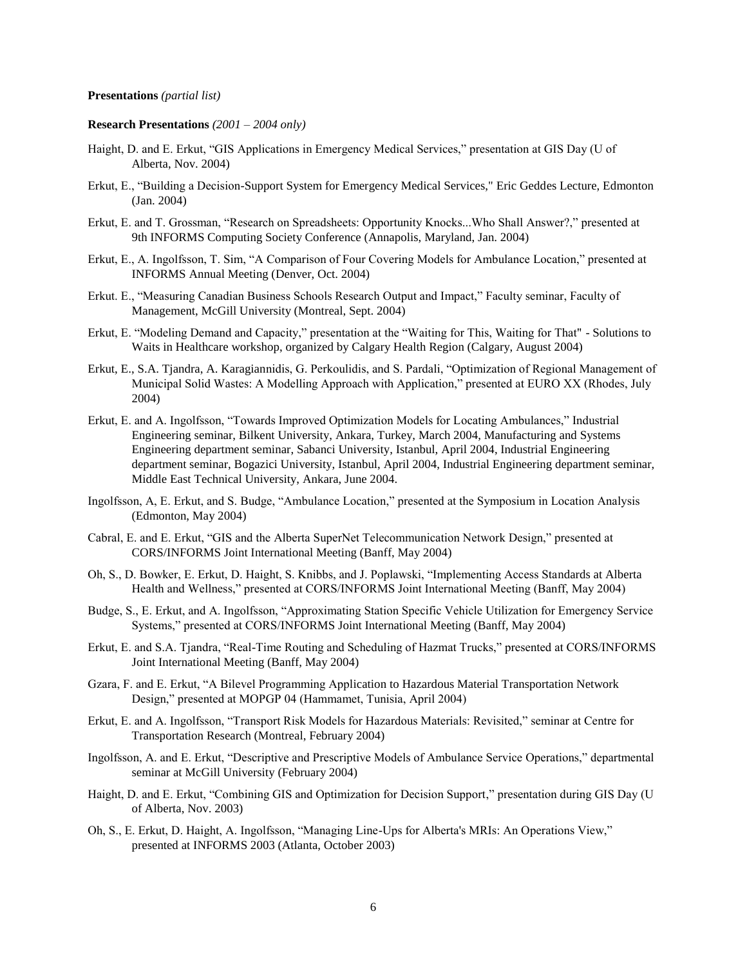#### **Presentations** *(partial list)*

#### **Research Presentations** *(2001 – 2004 only)*

- Haight, D. and E. Erkut, "GIS Applications in Emergency Medical Services," presentation at GIS Day (U of Alberta, Nov. 2004)
- Erkut, E., "Building a Decision-Support System for Emergency Medical Services," Eric Geddes Lecture, Edmonton (Jan. 2004)
- Erkut, E. and T. Grossman, "Research on Spreadsheets: Opportunity Knocks...Who Shall Answer?," presented at 9th INFORMS Computing Society Conference (Annapolis, Maryland, Jan. 2004)
- Erkut, E., A. Ingolfsson, T. Sim, "A Comparison of Four Covering Models for Ambulance Location," presented at INFORMS Annual Meeting (Denver, Oct. 2004)
- Erkut. E., "Measuring Canadian Business Schools Research Output and Impact," Faculty seminar, Faculty of Management, McGill University (Montreal, Sept. 2004)
- Erkut, E. "Modeling Demand and Capacity," presentation at the "Waiting for This, Waiting for That" Solutions to Waits in Healthcare workshop, organized by Calgary Health Region (Calgary, August 2004)
- Erkut, E., S.A. Tjandra, A. Karagiannidis, G. Perkoulidis, and S. Pardali, "Optimization of Regional Management of Municipal Solid Wastes: A Modelling Approach with Application," presented at EURO XX (Rhodes, July 2004)
- Erkut, E. and A. Ingolfsson, "Towards Improved Optimization Models for Locating Ambulances," Industrial Engineering seminar, Bilkent University, Ankara, Turkey, March 2004, Manufacturing and Systems Engineering department seminar, Sabanci University, Istanbul, April 2004, Industrial Engineering department seminar, Bogazici University, Istanbul, April 2004, Industrial Engineering department seminar, Middle East Technical University, Ankara, June 2004.
- Ingolfsson, A, E. Erkut, and S. Budge, "Ambulance Location," presented at the Symposium in Location Analysis (Edmonton, May 2004)
- Cabral, E. and E. Erkut, "GIS and the Alberta SuperNet Telecommunication Network Design," presented at CORS/INFORMS Joint International Meeting (Banff, May 2004)
- Oh, S., D. Bowker, E. Erkut, D. Haight, S. Knibbs, and J. Poplawski, "Implementing Access Standards at Alberta Health and Wellness," presented at CORS/INFORMS Joint International Meeting (Banff, May 2004)
- Budge, S., E. Erkut, and A. Ingolfsson, "Approximating Station Specific Vehicle Utilization for Emergency Service Systems," presented at CORS/INFORMS Joint International Meeting (Banff, May 2004)
- Erkut, E. and S.A. Tjandra, "Real-Time Routing and Scheduling of Hazmat Trucks," presented at CORS/INFORMS Joint International Meeting (Banff, May 2004)
- Gzara, F. and E. Erkut, "A Bilevel Programming Application to Hazardous Material Transportation Network Design," presented at MOPGP 04 (Hammamet, Tunisia, April 2004)
- Erkut, E. and A. Ingolfsson, "Transport Risk Models for Hazardous Materials: Revisited," seminar at Centre for Transportation Research (Montreal, February 2004)
- Ingolfsson, A. and E. Erkut, "Descriptive and Prescriptive Models of Ambulance Service Operations," departmental seminar at McGill University (February 2004)
- Haight, D. and E. Erkut, "Combining GIS and Optimization for Decision Support," presentation during GIS Day (U of Alberta, Nov. 2003)
- Oh, S., E. Erkut, D. Haight, A. Ingolfsson, "Managing Line-Ups for Alberta's MRIs: An Operations View," presented at INFORMS 2003 (Atlanta, October 2003)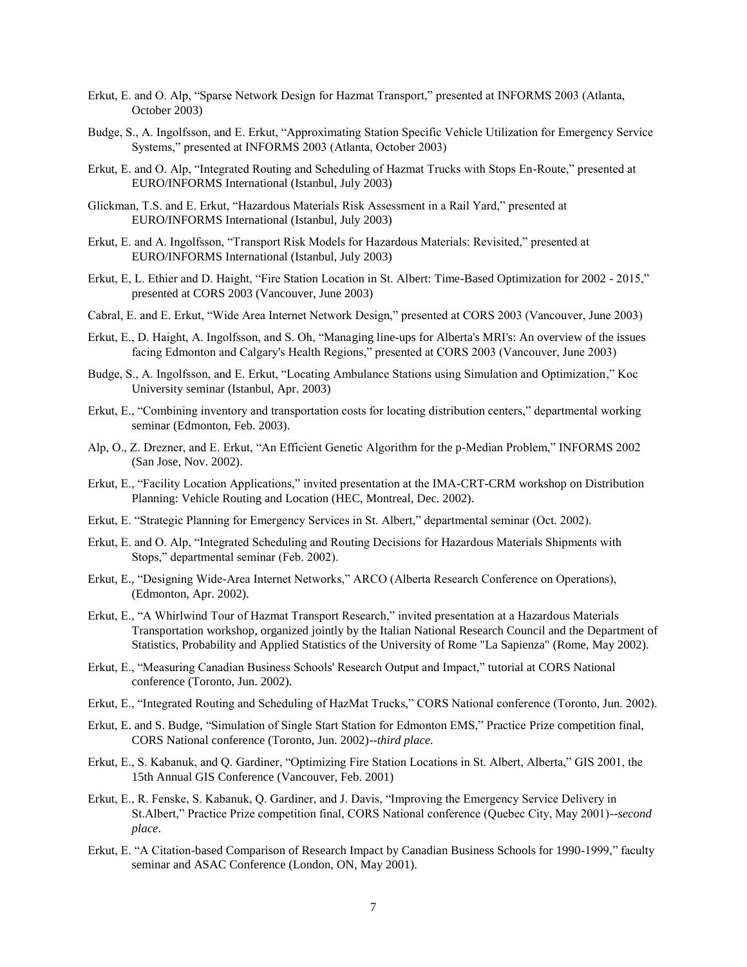- Erkut, E. and O. Alp, "Sparse Network Design for Hazmat Transport," presented at INFORMS 2003 (Atlanta, October 2003)
- Budge, S., A. Ingolfsson, and E. Erkut, "Approximating Station Specific Vehicle Utilization for Emergency Service Systems," presented at INFORMS 2003 (Atlanta, October 2003)
- Erkut, E. and O. Alp, "Integrated Routing and Scheduling of Hazmat Trucks with Stops En-Route," presented at EURO/INFORMS International (Istanbul, July 2003)
- Glickman, T.S. and E. Erkut, "Hazardous Materials Risk Assessment in a Rail Yard," presented at EURO/INFORMS International (Istanbul, July 2003)
- Erkut, E. and A. Ingolfsson, "Transport Risk Models for Hazardous Materials: Revisited," presented at EURO/INFORMS International (Istanbul, July 2003)
- Erkut, E, L. Ethier and D. Haight, "Fire Station Location in St. Albert: Time-Based Optimization for 2002 2015," presented at CORS 2003 (Vancouver, June 2003)
- Cabral, E. and E. Erkut, "Wide Area Internet Network Design," presented at CORS 2003 (Vancouver, June 2003)
- Erkut, E., D. Haight, A. Ingolfsson, and S. Oh, "Managing line-ups for Alberta's MRI's: An overview of the issues facing Edmonton and Calgary's Health Regions," presented at CORS 2003 (Vancouver, June 2003)
- Budge, S., A. Ingolfsson, and E. Erkut, "Locating Ambulance Stations using Simulation and Optimization," Koc University seminar (Istanbul, Apr. 2003)
- Erkut, E., "Combining inventory and transportation costs for locating distribution centers," departmental working seminar (Edmonton, Feb. 2003).
- Alp, O., Z. Drezner, and E. Erkut, "An Efficient Genetic Algorithm for the p-Median Problem," INFORMS 2002 (San Jose, Nov. 2002).
- Erkut, E., "Facility Location Applications," invited presentation at the IMA-CRT-CRM workshop on Distribution Planning: Vehicle Routing and Location (HEC, Montreal, Dec. 2002).
- Erkut, E. "Strategic Planning for Emergency Services in St. Albert," departmental seminar (Oct. 2002).
- Erkut, E. and O. Alp, "Integrated Scheduling and Routing Decisions for Hazardous Materials Shipments with Stops," departmental seminar (Feb. 2002).
- Erkut, E., "Designing Wide-Area Internet Networks," ARCO (Alberta Research Conference on Operations), (Edmonton, Apr. 2002).
- Erkut, E., "A Whirlwind Tour of Hazmat Transport Research," invited presentation at a Hazardous Materials Transportation workshop, organized jointly by the Italian National Research Council and the Department of Statistics, Probability and Applied Statistics of the University of Rome "La Sapienza" (Rome, May 2002).
- Erkut, E., "Measuring Canadian Business Schools' Research Output and Impact," tutorial at CORS National conference (Toronto, Jun. 2002).
- Erkut, E., "Integrated Routing and Scheduling of HazMat Trucks," CORS National conference (Toronto, Jun. 2002).
- Erkut, E. and S. Budge, "Simulation of Single Start Station for Edmonton EMS," Practice Prize competition final, CORS National conference (Toronto, Jun. 2002)--*third place.*
- Erkut, E., S. Kabanuk, and Q. Gardiner, "Optimizing Fire Station Locations in St. Albert, Alberta," GIS 2001, the 15th Annual GIS Conference (Vancouver, Feb. 2001)
- Erkut, E., R. Fenske, S. Kabanuk, Q. Gardiner, and J. Davis, "Improving the Emergency Service Delivery in St.Albert," Practice Prize competition final, CORS National conference (Quebec City, May 2001)--*second place*.
- Erkut, E. "A Citation-based Comparison of Research Impact by Canadian Business Schools for 1990-1999," faculty seminar and ASAC Conference (London, ON, May 2001).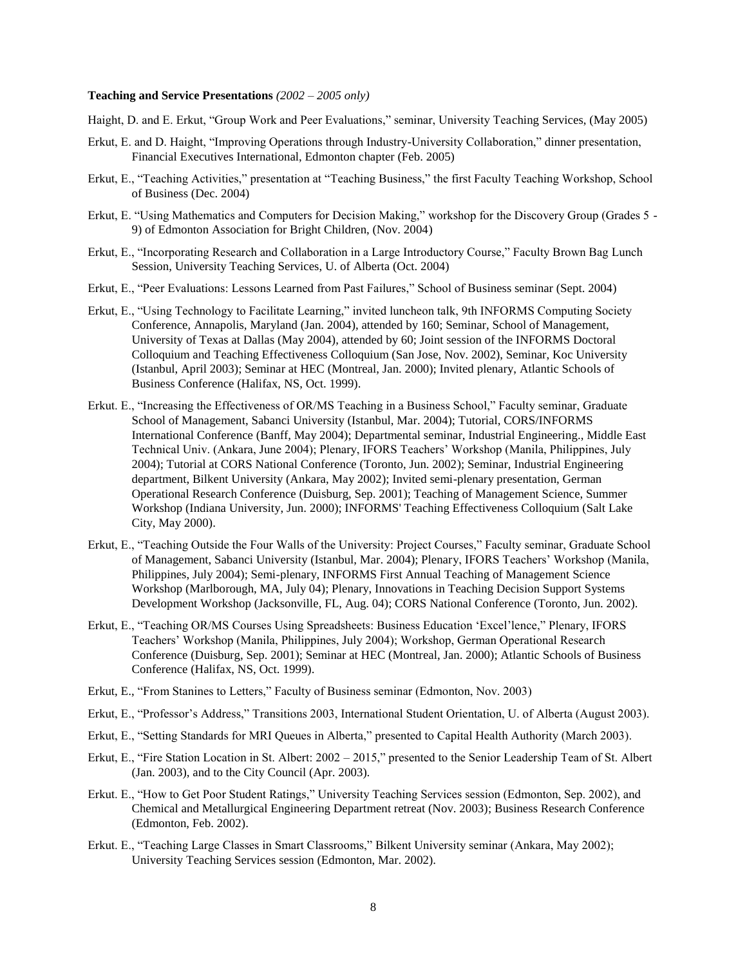#### **Teaching and Service Presentations** *(2002 – 2005 only)*

Haight, D. and E. Erkut, "Group Work and Peer Evaluations," seminar, University Teaching Services, (May 2005)

- Erkut, E. and D. Haight, "Improving Operations through Industry-University Collaboration," dinner presentation, Financial Executives International, Edmonton chapter (Feb. 2005)
- Erkut, E., "Teaching Activities," presentation at "Teaching Business," the first Faculty Teaching Workshop, School of Business (Dec. 2004)
- Erkut, E. "Using Mathematics and Computers for Decision Making," workshop for the Discovery Group (Grades 5 9) of Edmonton Association for Bright Children, (Nov. 2004)
- Erkut, E., "Incorporating Research and Collaboration in a Large Introductory Course," Faculty Brown Bag Lunch Session, University Teaching Services, U. of Alberta (Oct. 2004)
- Erkut, E., "Peer Evaluations: Lessons Learned from Past Failures," School of Business seminar (Sept. 2004)
- Erkut, E., "Using Technology to Facilitate Learning," invited luncheon talk, 9th INFORMS Computing Society Conference, Annapolis, Maryland (Jan. 2004), attended by 160; Seminar, School of Management, University of Texas at Dallas (May 2004), attended by 60; Joint session of the INFORMS Doctoral Colloquium and Teaching Effectiveness Colloquium (San Jose, Nov. 2002), Seminar, Koc University (Istanbul, April 2003); Seminar at HEC (Montreal, Jan. 2000); Invited plenary, Atlantic Schools of Business Conference (Halifax, NS, Oct. 1999).
- Erkut. E., "Increasing the Effectiveness of OR/MS Teaching in a Business School," Faculty seminar, Graduate School of Management, Sabanci University (Istanbul, Mar. 2004); Tutorial, CORS/INFORMS International Conference (Banff, May 2004); Departmental seminar, Industrial Engineering., Middle East Technical Univ. (Ankara, June 2004); Plenary, IFORS Teachers' Workshop (Manila, Philippines, July 2004); Tutorial at CORS National Conference (Toronto, Jun. 2002); Seminar, Industrial Engineering department, Bilkent University (Ankara, May 2002); Invited semi-plenary presentation, German Operational Research Conference (Duisburg, Sep. 2001); Teaching of Management Science, Summer Workshop (Indiana University, Jun. 2000); INFORMS' Teaching Effectiveness Colloquium (Salt Lake City, May 2000).
- Erkut, E., "Teaching Outside the Four Walls of the University: Project Courses," Faculty seminar, Graduate School of Management, Sabanci University (Istanbul, Mar. 2004); Plenary, IFORS Teachers' Workshop (Manila, Philippines, July 2004); Semi-plenary, INFORMS First Annual Teaching of Management Science Workshop (Marlborough, MA, July 04); Plenary, Innovations in Teaching Decision Support Systems Development Workshop (Jacksonville, FL, Aug. 04); CORS National Conference (Toronto, Jun. 2002).
- Erkut, E., "Teaching OR/MS Courses Using Spreadsheets: Business Education 'Excel'lence," Plenary, IFORS Teachers' Workshop (Manila, Philippines, July 2004); Workshop, German Operational Research Conference (Duisburg, Sep. 2001); Seminar at HEC (Montreal, Jan. 2000); Atlantic Schools of Business Conference (Halifax, NS, Oct. 1999).
- Erkut, E., "From Stanines to Letters," Faculty of Business seminar (Edmonton, Nov. 2003)
- Erkut, E., "Professor's Address," Transitions 2003, International Student Orientation, U. of Alberta (August 2003).
- Erkut, E., "Setting Standards for MRI Queues in Alberta," presented to Capital Health Authority (March 2003).
- Erkut, E., "Fire Station Location in St. Albert: 2002 2015," presented to the Senior Leadership Team of St. Albert (Jan. 2003), and to the City Council (Apr. 2003).
- Erkut. E., "How to Get Poor Student Ratings," University Teaching Services session (Edmonton, Sep. 2002), and Chemical and Metallurgical Engineering Department retreat (Nov. 2003); Business Research Conference (Edmonton, Feb. 2002).
- Erkut. E., "Teaching Large Classes in Smart Classrooms," Bilkent University seminar (Ankara, May 2002); University Teaching Services session (Edmonton, Mar. 2002).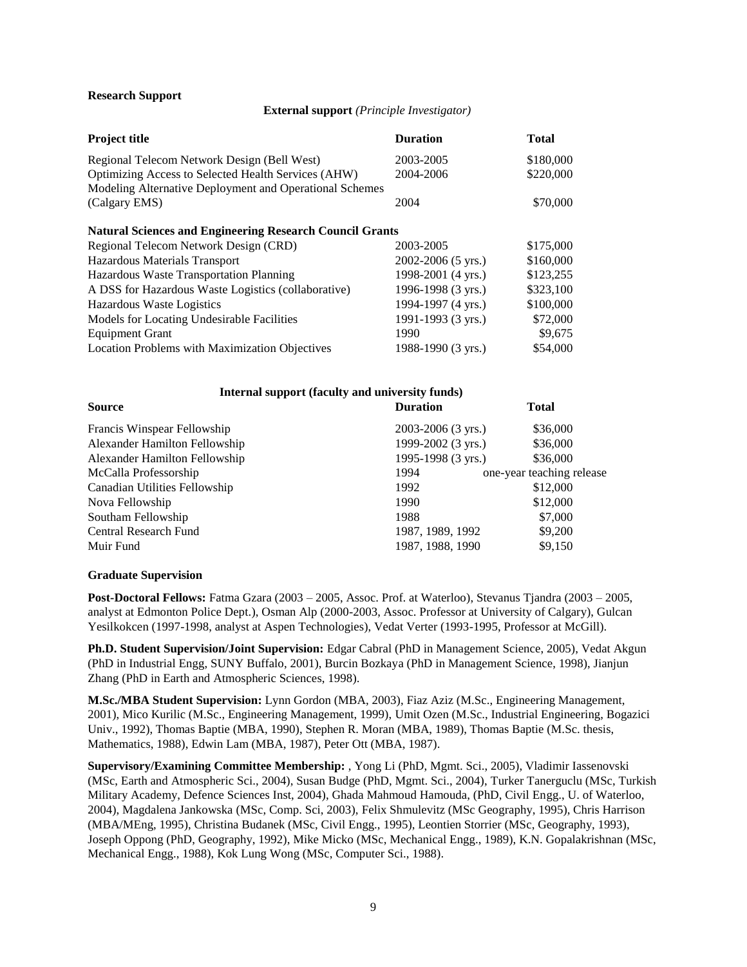# **Research Support**

#### **External support** *(Principle Investigator)*

| <b>Project title</b>                                            | <b>Duration</b>        | <b>Total</b> |
|-----------------------------------------------------------------|------------------------|--------------|
| Regional Telecom Network Design (Bell West)                     | 2003-2005              | \$180,000    |
| Optimizing Access to Selected Health Services (AHW)             | 2004-2006              | \$220,000    |
| Modeling Alternative Deployment and Operational Schemes         |                        |              |
| (Calgary EMS)                                                   | 2004                   | \$70,000     |
| <b>Natural Sciences and Engineering Research Council Grants</b> |                        |              |
| Regional Telecom Network Design (CRD)                           | 2003-2005              | \$175,000    |
| Hazardous Materials Transport                                   | $2002 - 2006$ (5 yrs.) | \$160,000    |
| Hazardous Waste Transportation Planning                         | 1998-2001 (4 yrs.)     | \$123,255    |
| A DSS for Hazardous Waste Logistics (collaborative)             | 1996-1998 (3 yrs.)     | \$323,100    |
| Hazardous Waste Logistics                                       | 1994-1997 (4 yrs.)     | \$100,000    |
| Models for Locating Undesirable Facilities                      | 1991-1993 (3 yrs.)     | \$72,000     |
| <b>Equipment Grant</b>                                          | 1990                   | \$9,675      |
| <b>Location Problems with Maximization Objectives</b>           | 1988-1990 (3 yrs.)     | \$54,000     |

| Internal support (faculty and university funds) |                    |                           |  |  |  |
|-------------------------------------------------|--------------------|---------------------------|--|--|--|
| <b>Source</b>                                   | <b>Duration</b>    | <b>Total</b>              |  |  |  |
| Francis Winspear Fellowship                     | 2003-2006 (3 yrs.) | \$36,000                  |  |  |  |
| Alexander Hamilton Fellowship                   | 1999-2002 (3 yrs.) | \$36,000                  |  |  |  |
| Alexander Hamilton Fellowship                   | 1995-1998 (3 yrs.) | \$36,000                  |  |  |  |
| McCalla Professorship                           | 1994               | one-year teaching release |  |  |  |
| Canadian Utilities Fellowship                   | 1992               | \$12,000                  |  |  |  |
| Nova Fellowship                                 | 1990               | \$12,000                  |  |  |  |
| Southam Fellowship                              | 1988               | \$7,000                   |  |  |  |
| <b>Central Research Fund</b>                    | 1987, 1989, 1992   | \$9,200                   |  |  |  |
| Muir Fund                                       | 1987, 1988, 1990   | \$9,150                   |  |  |  |
|                                                 |                    |                           |  |  |  |

#### **Graduate Supervision**

**Post-Doctoral Fellows:** Fatma Gzara (2003 – 2005, Assoc. Prof. at Waterloo), Stevanus Tjandra (2003 – 2005, analyst at Edmonton Police Dept.), Osman Alp (2000-2003, Assoc. Professor at University of Calgary), Gulcan Yesilkokcen (1997-1998, analyst at Aspen Technologies), Vedat Verter (1993-1995, Professor at McGill).

**Ph.D. Student Supervision/Joint Supervision:** Edgar Cabral (PhD in Management Science, 2005), Vedat Akgun (PhD in Industrial Engg, SUNY Buffalo, 2001), Burcin Bozkaya (PhD in Management Science, 1998), Jianjun Zhang (PhD in Earth and Atmospheric Sciences, 1998).

**M.Sc./MBA Student Supervision:** Lynn Gordon (MBA, 2003), Fiaz Aziz (M.Sc., Engineering Management, 2001), Mico Kurilic (M.Sc., Engineering Management, 1999), Umit Ozen (M.Sc., Industrial Engineering, Bogazici Univ., 1992), Thomas Baptie (MBA, 1990), Stephen R. Moran (MBA, 1989), Thomas Baptie (M.Sc. thesis, Mathematics, 1988), Edwin Lam (MBA, 1987), Peter Ott (MBA, 1987).

**Supervisory/Examining Committee Membership:** , Yong Li (PhD, Mgmt. Sci., 2005), Vladimir Iassenovski (MSc, Earth and Atmospheric Sci., 2004), Susan Budge (PhD, Mgmt. Sci., 2004), Turker Tanerguclu (MSc, Turkish Military Academy, Defence Sciences Inst, 2004), Ghada Mahmoud Hamouda, (PhD, Civil Engg., U. of Waterloo, 2004), Magdalena Jankowska (MSc, Comp. Sci, 2003), Felix Shmulevitz (MSc Geography, 1995), Chris Harrison (MBA/MEng, 1995), Christina Budanek (MSc, Civil Engg., 1995), Leontien Storrier (MSc, Geography, 1993), Joseph Oppong (PhD, Geography, 1992), Mike Micko (MSc, Mechanical Engg., 1989), K.N. Gopalakrishnan (MSc, Mechanical Engg., 1988), Kok Lung Wong (MSc, Computer Sci., 1988).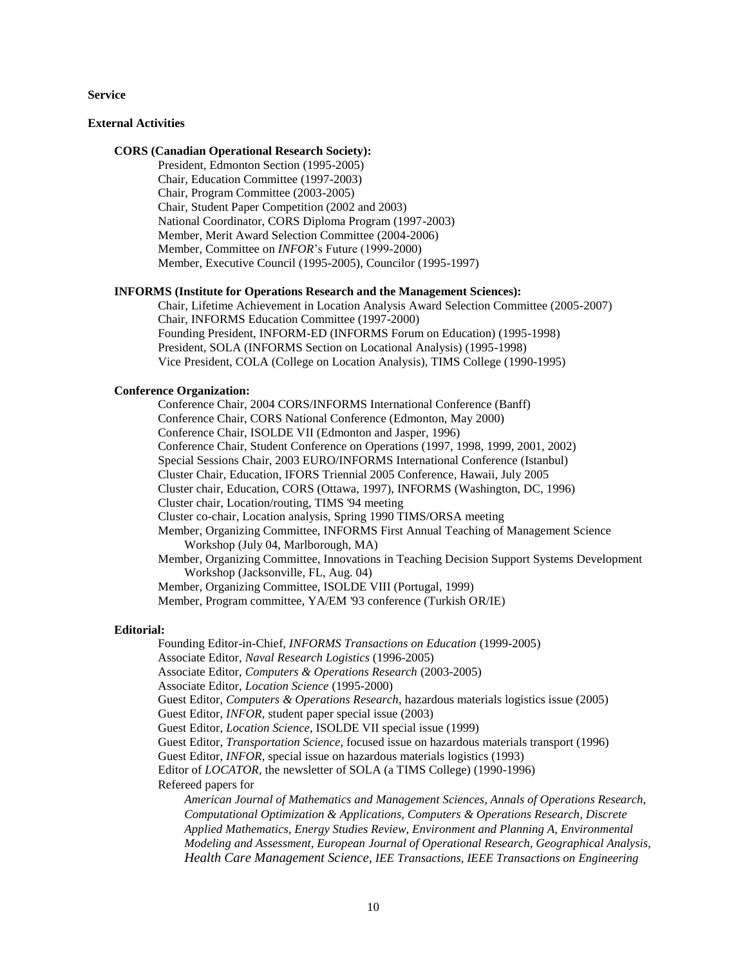# **Service**

#### **External Activities**

### **CORS (Canadian Operational Research Society):**

President, Edmonton Section (1995-2005) Chair, Education Committee (1997-2003) Chair, Program Committee (2003-2005) Chair, Student Paper Competition (2002 and 2003) National Coordinator, CORS Diploma Program (1997-2003) Member, Merit Award Selection Committee (2004-2006) Member, Committee on *INFOR*'s Future (1999-2000) Member, Executive Council (1995-2005), Councilor (1995-1997)

### **INFORMS (Institute for Operations Research and the Management Sciences):**

Chair, Lifetime Achievement in Location Analysis Award Selection Committee (2005-2007) Chair, INFORMS Education Committee (1997-2000) Founding President, INFORM-ED (INFORMS Forum on Education) (1995-1998) President, SOLA (INFORMS Section on Locational Analysis) (1995-1998) Vice President, COLA (College on Location Analysis), TIMS College (1990-1995)

### **Conference Organization:**

Conference Chair, 2004 CORS/INFORMS International Conference (Banff) Conference Chair, CORS National Conference (Edmonton, May 2000) Conference Chair, ISOLDE VII (Edmonton and Jasper, 1996) Conference Chair, Student Conference on Operations (1997, 1998, 1999, 2001, 2002) Special Sessions Chair, 2003 EURO/INFORMS International Conference (Istanbul) Cluster Chair, Education, IFORS Triennial 2005 Conference, Hawaii, July 2005 Cluster chair, Education, CORS (Ottawa, 1997), INFORMS (Washington, DC, 1996) Cluster chair, Location/routing, TIMS '94 meeting Cluster co-chair, Location analysis, Spring 1990 TIMS/ORSA meeting Member, Organizing Committee, INFORMS First Annual Teaching of Management Science Workshop (July 04, Marlborough, MA) Member, Organizing Committee, Innovations in Teaching Decision Support Systems Development Workshop (Jacksonville, FL, Aug. 04) Member, Organizing Committee, ISOLDE VIII (Portugal, 1999) Member, Program committee, YA/EM '93 conference (Turkish OR/IE)

#### **Editorial:**

Founding Editor-in-Chief, *INFORMS Transactions on Education* (1999-2005) Associate Editor, *Naval Research Logistics* (1996-2005) Associate Editor, *Computers & Operations Research* (2003-2005) Associate Editor, *Location Science* (1995-2000) Guest Editor, *Computers & Operations Research*, hazardous materials logistics issue (2005) Guest Editor, *INFOR*, student paper special issue (2003) Guest Editor, *Location Science*, ISOLDE VII special issue (1999) Guest Editor, *Transportation Science*, focused issue on hazardous materials transport (1996) Guest Editor, *INFOR*, special issue on hazardous materials logistics (1993) Editor of *LOCATOR*, the newsletter of SOLA (a TIMS College) (1990-1996) Refereed papers for *American Journal of Mathematics and Management Sciences, Annals of Operations Research, Computational Optimization & Applications, Computers & Operations Research, Discrete Applied Mathematics, Energy Studies Review, Environment and Planning A, Environmental Modeling and Assessment, European Journal of Operational Research, Geographical Analysis,*

*Health Care Management Science, IEE Transactions, IEEE Transactions on Engineering*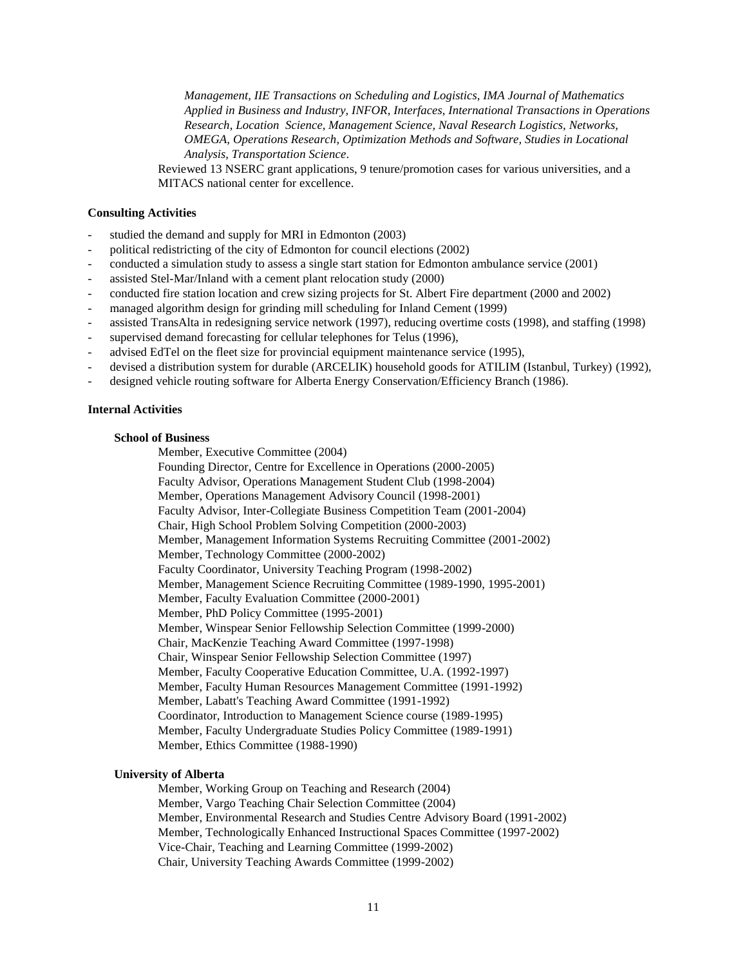*Management, IIE Transactions on Scheduling and Logistics, IMA Journal of Mathematics Applied in Business and Industry, INFOR, Interfaces, International Transactions in Operations Research, Location Science, Management Science, Naval Research Logistics, Networks, OMEGA, Operations Research, Optimization Methods and Software, Studies in Locational Analysis, Transportation Science*.

Reviewed 13 NSERC grant applications, 9 tenure/promotion cases for various universities, and a MITACS national center for excellence.

### **Consulting Activities**

- studied the demand and supply for MRI in Edmonton (2003)
- political redistricting of the city of Edmonton for council elections (2002)
- conducted a simulation study to assess a single start station for Edmonton ambulance service (2001)
- assisted Stel-Mar/Inland with a cement plant relocation study (2000)
- conducted fire station location and crew sizing projects for St. Albert Fire department (2000 and 2002)
- managed algorithm design for grinding mill scheduling for Inland Cement (1999)
- assisted TransAlta in redesigning service network (1997), reducing overtime costs (1998), and staffing (1998)
- supervised demand forecasting for cellular telephones for Telus (1996),
- advised EdTel on the fleet size for provincial equipment maintenance service (1995),
- devised a distribution system for durable (ARCELIK) household goods for ATILIM (Istanbul, Turkey) (1992),
- designed vehicle routing software for Alberta Energy Conservation/Efficiency Branch (1986).

#### **Internal Activities**

#### **School of Business**

Member, Executive Committee (2004)

Founding Director, Centre for Excellence in Operations (2000-2005) Faculty Advisor, Operations Management Student Club (1998-2004) Member, Operations Management Advisory Council (1998-2001) Faculty Advisor, Inter-Collegiate Business Competition Team (2001-2004) Chair, High School Problem Solving Competition (2000-2003) Member, Management Information Systems Recruiting Committee (2001-2002) Member, Technology Committee (2000-2002) Faculty Coordinator, University Teaching Program (1998-2002) Member, Management Science Recruiting Committee (1989-1990, 1995-2001) Member, Faculty Evaluation Committee (2000-2001) Member, PhD Policy Committee (1995-2001) Member, Winspear Senior Fellowship Selection Committee (1999-2000) Chair, MacKenzie Teaching Award Committee (1997-1998) Chair, Winspear Senior Fellowship Selection Committee (1997) Member, Faculty Cooperative Education Committee, U.A. (1992-1997) Member, Faculty Human Resources Management Committee (1991-1992) Member, Labatt's Teaching Award Committee (1991-1992) Coordinator, Introduction to Management Science course (1989-1995) Member, Faculty Undergraduate Studies Policy Committee (1989-1991) Member, Ethics Committee (1988-1990)

#### **University of Alberta**

Member, Working Group on Teaching and Research (2004) Member, Vargo Teaching Chair Selection Committee (2004) Member, Environmental Research and Studies Centre Advisory Board (1991-2002) Member, Technologically Enhanced Instructional Spaces Committee (1997-2002) Vice-Chair, Teaching and Learning Committee (1999-2002) Chair, University Teaching Awards Committee (1999-2002)